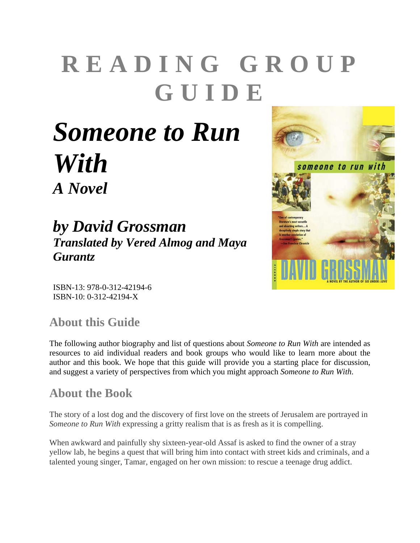# **READING GROUP GUIDE**

## *Someone to Run With A Novel*

## *by David Grossman Translated by Vered Almog and Maya Gurantz*



ISBN-13: 978-0-312-42194-6 ISBN-10: 0-312-42194-X

## **About this Guide**

The following author biography and list of questions about *Someone to Run With* are intended as resources to aid individual readers and book groups who would like to learn more about the author and this book. We hope that this guide will provide you a starting place for discussion, and suggest a variety of perspectives from which you might approach *Someone to Run With*.

#### **About the Book**

The story of a lost dog and the discovery of first love on the streets of Jerusalem are portrayed in *Someone to Run With* expressing a gritty realism that is as fresh as it is compelling.

When awkward and painfully shy sixteen-year-old Assaf is asked to find the owner of a stray yellow lab, he begins a quest that will bring him into contact with street kids and criminals, and a talented young singer, Tamar, engaged on her own mission: to rescue a teenage drug addict.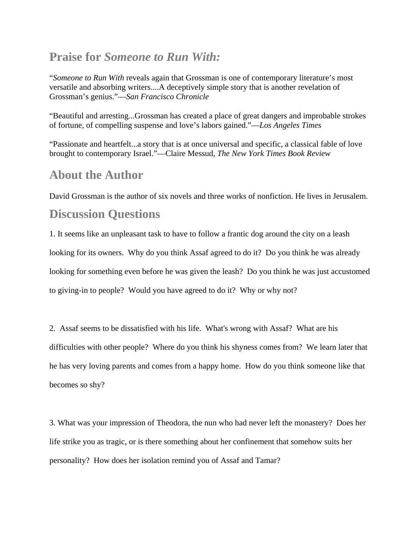#### **Praise for** *Someone to Run With:*

"*Someone to Run With* reveals again that Grossman is one of contemporary literature's most versatile and absorbing writers....A deceptively simple story that is another revelation of Grossman's genius."—*San Francisco Chronicle*

"Beautiful and arresting...Grossman has created a place of great dangers and improbable strokes of fortune, of compelling suspense and love's labors gained."—*Los Angeles Times*

"Passionate and heartfelt...a story that is at once universal and specific, a classical fable of love brought to contemporary Israel."—Claire Messud, *The New York Times Book Review* 

#### **About the Author**

David Grossman is the author of six novels and three works of nonfiction. He lives in Jerusalem.

#### **Discussion Questions**

1. It seems like an unpleasant task to have to follow a frantic dog around the city on a leash looking for its owners. Why do you think Assaf agreed to do it? Do you think he was already looking for something even before he was given the leash? Do you think he was just accustomed to giving-in to people? Would you have agreed to do it? Why or why not?

2. Assaf seems to be dissatisfied with his life. What's wrong with Assaf? What are his difficulties with other people? Where do you think his shyness comes from? We learn later that he has very loving parents and comes from a happy home. How do you think someone like that becomes so shy?

3. What was your impression of Theodora, the nun who had never left the monastery? Does her life strike you as tragic, or is there something about her confinement that somehow suits her personality? How does her isolation remind you of Assaf and Tamar?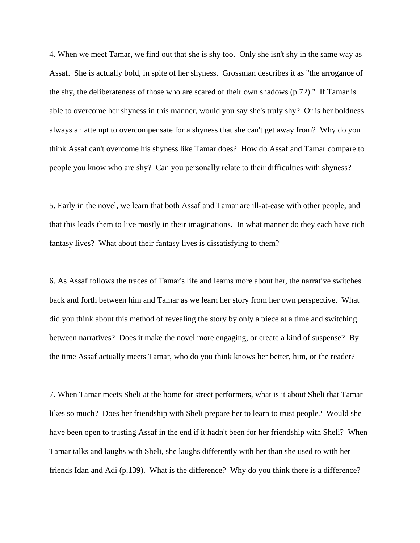4. When we meet Tamar, we find out that she is shy too. Only she isn't shy in the same way as Assaf. She is actually bold, in spite of her shyness. Grossman describes it as "the arrogance of the shy, the deliberateness of those who are scared of their own shadows (p.72)." If Tamar is able to overcome her shyness in this manner, would you say she's truly shy? Or is her boldness always an attempt to overcompensate for a shyness that she can't get away from? Why do you think Assaf can't overcome his shyness like Tamar does? How do Assaf and Tamar compare to people you know who are shy? Can you personally relate to their difficulties with shyness?

5. Early in the novel, we learn that both Assaf and Tamar are ill-at-ease with other people, and that this leads them to live mostly in their imaginations. In what manner do they each have rich fantasy lives? What about their fantasy lives is dissatisfying to them?

6. As Assaf follows the traces of Tamar's life and learns more about her, the narrative switches back and forth between him and Tamar as we learn her story from her own perspective. What did you think about this method of revealing the story by only a piece at a time and switching between narratives? Does it make the novel more engaging, or create a kind of suspense? By the time Assaf actually meets Tamar, who do you think knows her better, him, or the reader?

7. When Tamar meets Sheli at the home for street performers, what is it about Sheli that Tamar likes so much? Does her friendship with Sheli prepare her to learn to trust people? Would she have been open to trusting Assaf in the end if it hadn't been for her friendship with Sheli? When Tamar talks and laughs with Sheli, she laughs differently with her than she used to with her friends Idan and Adi (p.139). What is the difference? Why do you think there is a difference?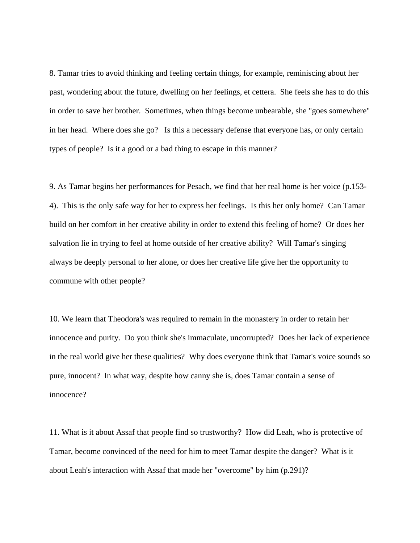8. Tamar tries to avoid thinking and feeling certain things, for example, reminiscing about her past, wondering about the future, dwelling on her feelings, et cettera. She feels she has to do this in order to save her brother. Sometimes, when things become unbearable, she "goes somewhere" in her head. Where does she go? Is this a necessary defense that everyone has, or only certain types of people? Is it a good or a bad thing to escape in this manner?

9. As Tamar begins her performances for Pesach, we find that her real home is her voice (p.153- 4). This is the only safe way for her to express her feelings. Is this her only home? Can Tamar build on her comfort in her creative ability in order to extend this feeling of home? Or does her salvation lie in trying to feel at home outside of her creative ability? Will Tamar's singing always be deeply personal to her alone, or does her creative life give her the opportunity to commune with other people?

10. We learn that Theodora's was required to remain in the monastery in order to retain her innocence and purity. Do you think she's immaculate, uncorrupted? Does her lack of experience in the real world give her these qualities? Why does everyone think that Tamar's voice sounds so pure, innocent? In what way, despite how canny she is, does Tamar contain a sense of innocence?

11. What is it about Assaf that people find so trustworthy? How did Leah, who is protective of Tamar, become convinced of the need for him to meet Tamar despite the danger? What is it about Leah's interaction with Assaf that made her "overcome" by him (p.291)?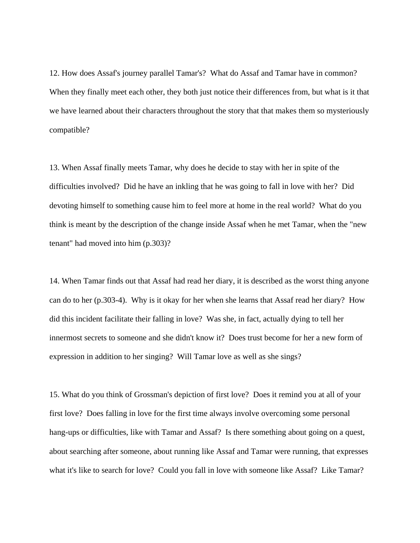12. How does Assaf's journey parallel Tamar's? What do Assaf and Tamar have in common? When they finally meet each other, they both just notice their differences from, but what is it that we have learned about their characters throughout the story that that makes them so mysteriously compatible?

13. When Assaf finally meets Tamar, why does he decide to stay with her in spite of the difficulties involved? Did he have an inkling that he was going to fall in love with her? Did devoting himself to something cause him to feel more at home in the real world? What do you think is meant by the description of the change inside Assaf when he met Tamar, when the "new tenant" had moved into him (p.303)?

14. When Tamar finds out that Assaf had read her diary, it is described as the worst thing anyone can do to her (p.303-4). Why is it okay for her when she learns that Assaf read her diary? How did this incident facilitate their falling in love? Was she, in fact, actually dying to tell her innermost secrets to someone and she didn't know it? Does trust become for her a new form of expression in addition to her singing? Will Tamar love as well as she sings?

15. What do you think of Grossman's depiction of first love? Does it remind you at all of your first love? Does falling in love for the first time always involve overcoming some personal hang-ups or difficulties, like with Tamar and Assaf? Is there something about going on a quest, about searching after someone, about running like Assaf and Tamar were running, that expresses what it's like to search for love? Could you fall in love with someone like Assaf? Like Tamar?